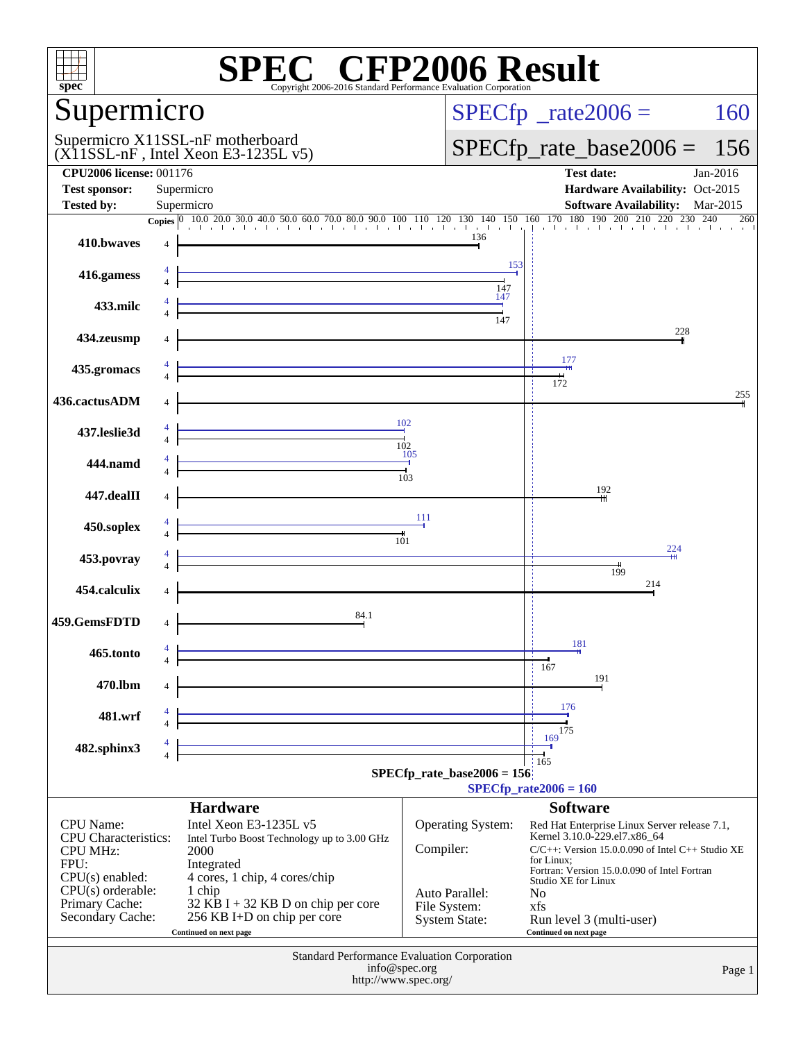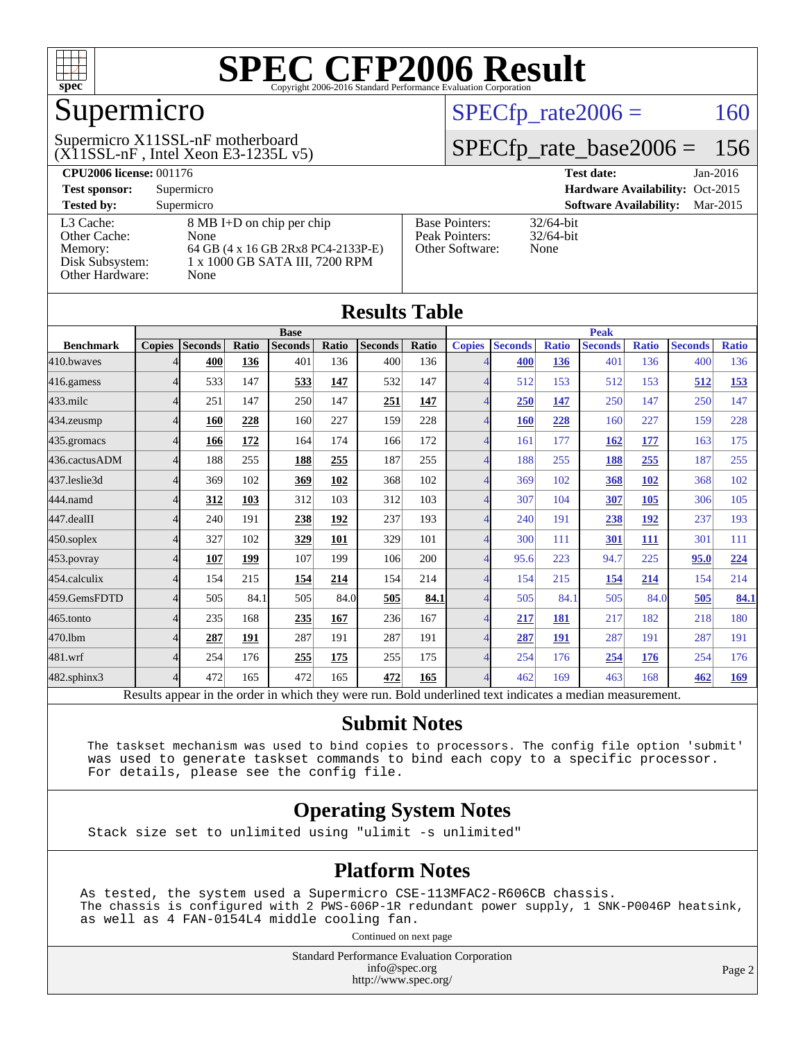

### Supermicro

#### $(X11SSL-nF)$ , Intel Xeon E3-1235L v5) Supermicro X11SSL-nF motherboard

#### $SPECTp_rate2006 = 160$

#### [SPECfp\\_rate\\_base2006 =](http://www.spec.org/auto/cpu2006/Docs/result-fields.html#SPECfpratebase2006) 156

| <b>CPU2006 license: 001176</b> |                                    | <b>Test date:</b><br>$Jan-2016$ |                                           |  |
|--------------------------------|------------------------------------|---------------------------------|-------------------------------------------|--|
| <b>Test sponsor:</b>           | Supermicro                         |                                 | Hardware Availability: Oct-2015           |  |
| <b>Tested by:</b>              | Supermicro                         |                                 | <b>Software Availability:</b><br>Mar-2015 |  |
| L3 Cache:                      | 8 MB I+D on chip per chip          | <b>Base Pointers:</b>           | $32/64$ -bit                              |  |
| Other Cache:                   | None                               | Peak Pointers:                  | $32/64$ -bit                              |  |
| Memory:                        | 64 GB (4 x 16 GB 2Rx8 PC4-2133P-E) | Other Software:                 | None                                      |  |
| Disk Subsystem:                | 1 x 1000 GB SATA III, 7200 RPM     |                                 |                                           |  |
| Other Hardware:                | None                               |                                 |                                           |  |

**[Results Table](http://www.spec.org/auto/cpu2006/Docs/result-fields.html#ResultsTable)**

| Results Table                                                                                            |               |                |       |                |            |                |              |                |                |              |                |              |                |              |
|----------------------------------------------------------------------------------------------------------|---------------|----------------|-------|----------------|------------|----------------|--------------|----------------|----------------|--------------|----------------|--------------|----------------|--------------|
|                                                                                                          | <b>Base</b>   |                |       |                |            | <b>Peak</b>    |              |                |                |              |                |              |                |              |
| <b>Benchmark</b>                                                                                         | <b>Copies</b> | <b>Seconds</b> | Ratio | <b>Seconds</b> | Ratio      | <b>Seconds</b> | <b>Ratio</b> | <b>Copies</b>  | <b>Seconds</b> | <b>Ratio</b> | <b>Seconds</b> | <b>Ratio</b> | <b>Seconds</b> | <b>Ratio</b> |
| 410.bwaves                                                                                               |               | 400            | 136   | 401            | 136        | 400            | 136          |                | 400            | 136          | 401            | 136          | 400            | 136          |
| 416.gamess                                                                                               |               | 533            | 147   | 533            | 147        | 532            | 147          | 4              | 512            | 153          | 512            | 153          | 512            | <u>153</u>   |
| $433$ .milc                                                                                              | Δ             | 251            | 147   | 250            | 147        | 251            | 147          |                | 250            | 147          | 250            | 147          | 250            | 147          |
| 434.zeusmp                                                                                               |               | 160            | 228   | 160            | 227        | 159            | 228          | Δ              | 160            | 228          | 160            | 227          | 159            | 228          |
| 435.gromacs                                                                                              | 4             | 166            | 172   | 164            | 174        | 166            | 172          | 4              | 161            | 177          | 162            | 177          | 163            | 175          |
| 436.cactusADM                                                                                            | 4             | 188            | 255   | 188            | 255        | 187            | 255          | $\overline{4}$ | 188            | 255          | 188            | 255          | 187            | 255          |
| 437.leslie3d                                                                                             | 4             | 369            | 102   | 369            | 102        | 368            | 102          | 4              | 369            | 102          | 368            | 102          | 368            | 102          |
| 444.namd                                                                                                 |               | 312            | 103   | 312            | 103        | 312            | 103          |                | 307            | 104          | 307            | 105          | 306            | 105          |
| 447.dealII                                                                                               |               | 240            | 191   | 238            | <u>192</u> | 237            | 193          | Δ              | 240            | 191          | 238            | 192          | 237            | 193          |
| 450.soplex                                                                                               | Δ             | 327            | 102   | 329            | 101        | 329            | 101          | Δ              | 300            | 111          | 301            | 111          | 301            | 111          |
| 453.povray                                                                                               | 4             | 107            | 199   | 107            | 199        | 106            | 200          | $\overline{4}$ | 95.6           | 223          | 94.7           | 225          | 95.0           | 224          |
| 454.calculix                                                                                             | Δ             | 154            | 215   | 154            | 214        | 154            | 214          | 4              | 154            | 215          | <u>154</u>     | 214          | 154            | 214          |
| 459.GemsFDTD                                                                                             |               | 505            | 84.1  | 505            | 84.0       | 505            | 84.1         |                | 505            | 84.1         | 505            | 84.0         | 505            | 84.1         |
| 465.tonto                                                                                                |               | 235            | 168   | 235            | 167        | 236            | 167          |                | 217            | 181          | 217            | 182          | 218            | 180          |
| 470.1bm                                                                                                  | Δ             | 287            | 191   | 287            | 191        | 287            | 191          | Δ              | 287            | 191          | 287            | 191          | 287            | 191          |
| 481.wrf                                                                                                  | 4             | 254            | 176   | 255            | 175        | 255            | 175          | 4              | 254            | 176          | 254            | 176          | 254            | 176          |
| 482.sphinx3                                                                                              | 4             | 472            | 165   | 472            | 165        | 472            | 165          |                | 462            | 169          | 463            | 168          | 462            | <u>169</u>   |
| Results appear in the order in which they were run. Bold underlined text indicates a median measurement. |               |                |       |                |            |                |              |                |                |              |                |              |                |              |

**[Submit Notes](http://www.spec.org/auto/cpu2006/Docs/result-fields.html#SubmitNotes)**

 The taskset mechanism was used to bind copies to processors. The config file option 'submit' was used to generate taskset commands to bind each copy to a specific processor. For details, please see the config file.

#### **[Operating System Notes](http://www.spec.org/auto/cpu2006/Docs/result-fields.html#OperatingSystemNotes)**

Stack size set to unlimited using "ulimit -s unlimited"

#### **[Platform Notes](http://www.spec.org/auto/cpu2006/Docs/result-fields.html#PlatformNotes)**

As tested, the system used a Supermicro CSE-113MFAC2-R606CB chassis. The chassis is configured with 2 PWS-606P-1R redundant power supply, 1 SNK-P0046P heatsink, as well as 4 FAN-0154L4 middle cooling fan.

Continued on next page

Standard Performance Evaluation Corporation [info@spec.org](mailto:info@spec.org) <http://www.spec.org/>

Page 2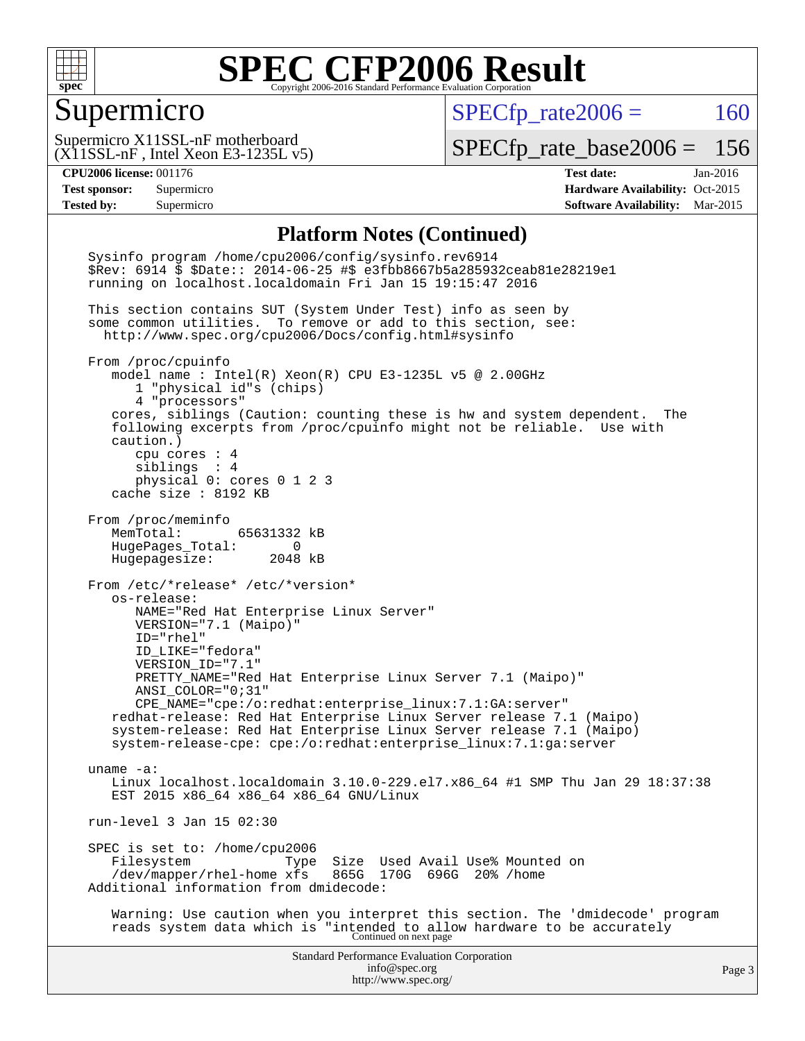

#### Supermicro

 $SPECfp_rate2006 = 160$  $SPECfp_rate2006 = 160$ 

(X11SSL-nF , Intel Xeon E3-1235L v5) Supermicro X11SSL-nF motherboard

[SPECfp\\_rate\\_base2006 =](http://www.spec.org/auto/cpu2006/Docs/result-fields.html#SPECfpratebase2006) 156

**[CPU2006 license:](http://www.spec.org/auto/cpu2006/Docs/result-fields.html#CPU2006license)** 001176 **[Test date:](http://www.spec.org/auto/cpu2006/Docs/result-fields.html#Testdate)** Jan-2016 **[Test sponsor:](http://www.spec.org/auto/cpu2006/Docs/result-fields.html#Testsponsor)** Supermicro Supermicro **[Hardware Availability:](http://www.spec.org/auto/cpu2006/Docs/result-fields.html#HardwareAvailability)** Oct-2015 **[Tested by:](http://www.spec.org/auto/cpu2006/Docs/result-fields.html#Testedby)** Supermicro **Supermicro [Software Availability:](http://www.spec.org/auto/cpu2006/Docs/result-fields.html#SoftwareAvailability)** Mar-2015

#### **[Platform Notes \(Continued\)](http://www.spec.org/auto/cpu2006/Docs/result-fields.html#PlatformNotes)**

Standard Performance Evaluation Corporation [info@spec.org](mailto:info@spec.org) <http://www.spec.org/> Page 3 Sysinfo program /home/cpu2006/config/sysinfo.rev6914 \$Rev: 6914 \$ \$Date:: 2014-06-25 #\$ e3fbb8667b5a285932ceab81e28219e1 running on localhost.localdomain Fri Jan 15 19:15:47 2016 This section contains SUT (System Under Test) info as seen by some common utilities. To remove or add to this section, see: <http://www.spec.org/cpu2006/Docs/config.html#sysinfo> From /proc/cpuinfo model name : Intel(R) Xeon(R) CPU E3-1235L v5 @ 2.00GHz 1 "physical id"s (chips) 4 "processors" cores, siblings (Caution: counting these is hw and system dependent. The following excerpts from /proc/cpuinfo might not be reliable. Use with caution.) cpu cores : 4 siblings : 4 physical 0: cores 0 1 2 3 cache size : 8192 KB From /proc/meminfo MemTotal: 65631332 kB HugePages\_Total: 0 Hugepagesize: 2048 kB From /etc/\*release\* /etc/\*version\* os-release: NAME="Red Hat Enterprise Linux Server" VERSION="7.1 (Maipo)" ID="rhel" ID\_LIKE="fedora" VERSION\_ID="7.1" PRETTY\_NAME="Red Hat Enterprise Linux Server 7.1 (Maipo)" ANSI\_COLOR="0;31" CPE\_NAME="cpe:/o:redhat:enterprise\_linux:7.1:GA:server" redhat-release: Red Hat Enterprise Linux Server release 7.1 (Maipo) system-release: Red Hat Enterprise Linux Server release 7.1 (Maipo) system-release-cpe: cpe:/o:redhat:enterprise\_linux:7.1:ga:server uname -a: Linux localhost.localdomain 3.10.0-229.el7.x86\_64 #1 SMP Thu Jan 29 18:37:38 EST 2015 x86\_64 x86\_64 x86\_64 GNU/Linux run-level 3 Jan 15 02:30 SPEC is set to: /home/cpu2006<br>Filesystem Type Type Size Used Avail Use% Mounted on<br>xfs 865G 170G 696G 20% /home  $/$ dev/mapper/rhel-home  $x$ fs Additional information from dmidecode: Warning: Use caution when you interpret this section. The 'dmidecode' program reads system data which is "intended to allow hardware to be accurately Continued on next page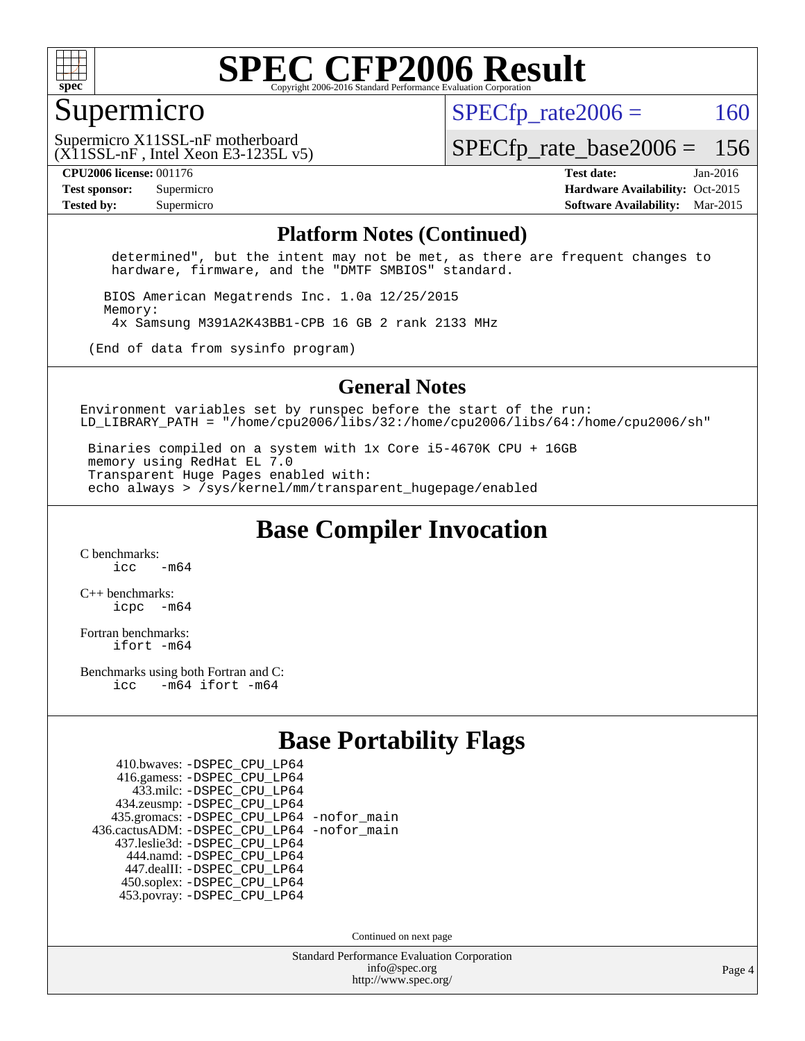

#### Supermicro

 $SPECTp\_rate2006 = 160$ 

 $(X11SSL-nF$ , Intel Xeon E3-1235L v5) Supermicro X11SSL-nF motherboard

[SPECfp\\_rate\\_base2006 =](http://www.spec.org/auto/cpu2006/Docs/result-fields.html#SPECfpratebase2006) 156

**[CPU2006 license:](http://www.spec.org/auto/cpu2006/Docs/result-fields.html#CPU2006license)** 001176 **[Test date:](http://www.spec.org/auto/cpu2006/Docs/result-fields.html#Testdate)** Jan-2016 **[Test sponsor:](http://www.spec.org/auto/cpu2006/Docs/result-fields.html#Testsponsor)** Supermicro Supermicro **[Hardware Availability:](http://www.spec.org/auto/cpu2006/Docs/result-fields.html#HardwareAvailability)** Oct-2015 **[Tested by:](http://www.spec.org/auto/cpu2006/Docs/result-fields.html#Testedby)** Supermicro **Supermicro [Software Availability:](http://www.spec.org/auto/cpu2006/Docs/result-fields.html#SoftwareAvailability)** Mar-2015

#### **[Platform Notes \(Continued\)](http://www.spec.org/auto/cpu2006/Docs/result-fields.html#PlatformNotes)**

 determined", but the intent may not be met, as there are frequent changes to hardware, firmware, and the "DMTF SMBIOS" standard.

 BIOS American Megatrends Inc. 1.0a 12/25/2015 Memory: 4x Samsung M391A2K43BB1-CPB 16 GB 2 rank 2133 MHz

(End of data from sysinfo program)

#### **[General Notes](http://www.spec.org/auto/cpu2006/Docs/result-fields.html#GeneralNotes)**

Environment variables set by runspec before the start of the run: LD LIBRARY PATH = "/home/cpu2006/libs/32:/home/cpu2006/libs/64:/home/cpu2006/sh"

 Binaries compiled on a system with 1x Core i5-4670K CPU + 16GB memory using RedHat EL 7.0 Transparent Huge Pages enabled with: echo always > /sys/kernel/mm/transparent\_hugepage/enabled

**[Base Compiler Invocation](http://www.spec.org/auto/cpu2006/Docs/result-fields.html#BaseCompilerInvocation)**

[C benchmarks](http://www.spec.org/auto/cpu2006/Docs/result-fields.html#Cbenchmarks):  $\frac{1}{2}$  cc  $-$  m64

[C++ benchmarks:](http://www.spec.org/auto/cpu2006/Docs/result-fields.html#CXXbenchmarks) [icpc -m64](http://www.spec.org/cpu2006/results/res2016q1/cpu2006-20160120-38728.flags.html#user_CXXbase_intel_icpc_64bit_bedb90c1146cab66620883ef4f41a67e)

[Fortran benchmarks](http://www.spec.org/auto/cpu2006/Docs/result-fields.html#Fortranbenchmarks): [ifort -m64](http://www.spec.org/cpu2006/results/res2016q1/cpu2006-20160120-38728.flags.html#user_FCbase_intel_ifort_64bit_ee9d0fb25645d0210d97eb0527dcc06e)

[Benchmarks using both Fortran and C](http://www.spec.org/auto/cpu2006/Docs/result-fields.html#BenchmarksusingbothFortranandC): [icc -m64](http://www.spec.org/cpu2006/results/res2016q1/cpu2006-20160120-38728.flags.html#user_CC_FCbase_intel_icc_64bit_0b7121f5ab7cfabee23d88897260401c) [ifort -m64](http://www.spec.org/cpu2006/results/res2016q1/cpu2006-20160120-38728.flags.html#user_CC_FCbase_intel_ifort_64bit_ee9d0fb25645d0210d97eb0527dcc06e)

#### **[Base Portability Flags](http://www.spec.org/auto/cpu2006/Docs/result-fields.html#BasePortabilityFlags)**

| 410.bwaves: - DSPEC CPU LP64                 |  |
|----------------------------------------------|--|
| 416.gamess: -DSPEC_CPU_LP64                  |  |
| 433.milc: - DSPEC_CPU LP64                   |  |
| 434.zeusmp: -DSPEC_CPU_LP64                  |  |
| 435.gromacs: -DSPEC_CPU_LP64 -nofor_main     |  |
| 436.cactusADM: - DSPEC CPU LP64 - nofor main |  |
| 437.leslie3d: -DSPEC CPU LP64                |  |
| 444.namd: - DSPEC_CPU_LP64                   |  |
| 447.dealII: -DSPEC CPU LP64                  |  |
| 450.soplex: -DSPEC_CPU_LP64                  |  |
| 453.povray: -DSPEC CPU LP64                  |  |

Continued on next page

Standard Performance Evaluation Corporation [info@spec.org](mailto:info@spec.org) <http://www.spec.org/>

Page 4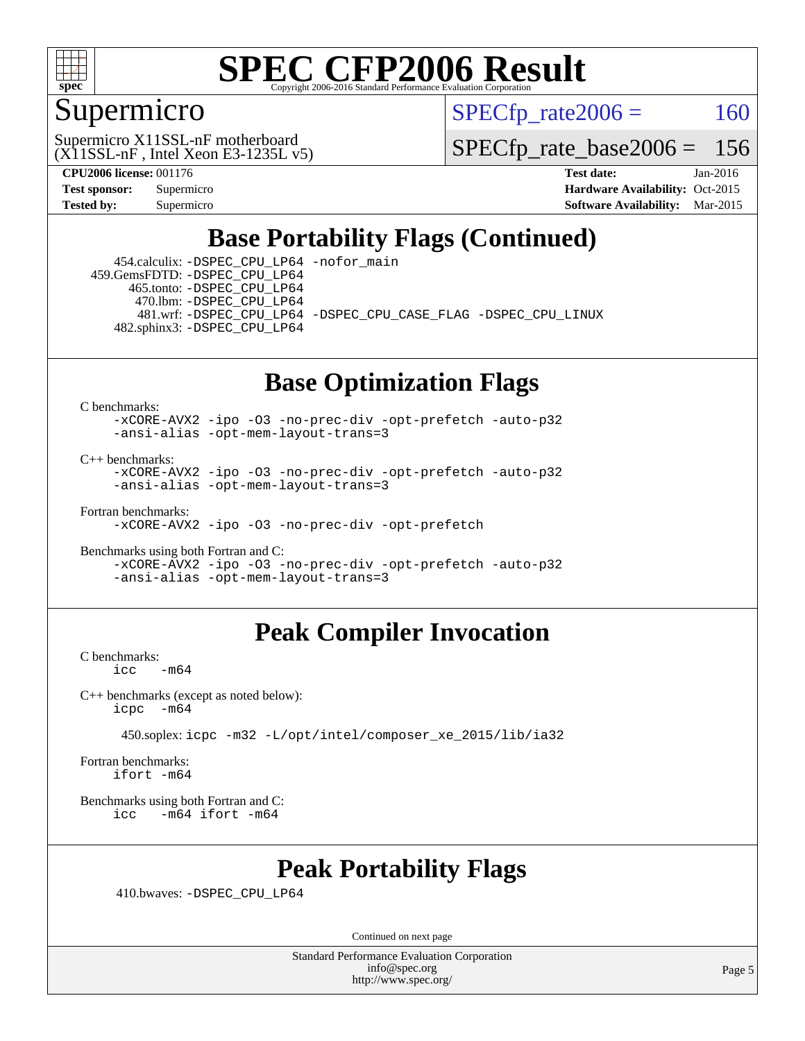

#### Supermicro

 $SPECTp\_rate2006 = 160$ 

(X11SSL-nF , Intel Xeon E3-1235L v5) Supermicro X11SSL-nF motherboard

[SPECfp\\_rate\\_base2006 =](http://www.spec.org/auto/cpu2006/Docs/result-fields.html#SPECfpratebase2006) 156

**[CPU2006 license:](http://www.spec.org/auto/cpu2006/Docs/result-fields.html#CPU2006license)** 001176 **[Test date:](http://www.spec.org/auto/cpu2006/Docs/result-fields.html#Testdate)** Jan-2016

**[Test sponsor:](http://www.spec.org/auto/cpu2006/Docs/result-fields.html#Testsponsor)** Supermicro Supermicro **[Hardware Availability:](http://www.spec.org/auto/cpu2006/Docs/result-fields.html#HardwareAvailability)** Oct-2015 **[Tested by:](http://www.spec.org/auto/cpu2006/Docs/result-fields.html#Testedby)** Supermicro **[Software Availability:](http://www.spec.org/auto/cpu2006/Docs/result-fields.html#SoftwareAvailability)** Mar-2015

### **[Base Portability Flags \(Continued\)](http://www.spec.org/auto/cpu2006/Docs/result-fields.html#BasePortabilityFlags)**

 454.calculix: [-DSPEC\\_CPU\\_LP64](http://www.spec.org/cpu2006/results/res2016q1/cpu2006-20160120-38728.flags.html#suite_basePORTABILITY454_calculix_DSPEC_CPU_LP64) [-nofor\\_main](http://www.spec.org/cpu2006/results/res2016q1/cpu2006-20160120-38728.flags.html#user_baseLDPORTABILITY454_calculix_f-nofor_main) 459.GemsFDTD: [-DSPEC\\_CPU\\_LP64](http://www.spec.org/cpu2006/results/res2016q1/cpu2006-20160120-38728.flags.html#suite_basePORTABILITY459_GemsFDTD_DSPEC_CPU_LP64) 465.tonto: [-DSPEC\\_CPU\\_LP64](http://www.spec.org/cpu2006/results/res2016q1/cpu2006-20160120-38728.flags.html#suite_basePORTABILITY465_tonto_DSPEC_CPU_LP64) 470.lbm: [-DSPEC\\_CPU\\_LP64](http://www.spec.org/cpu2006/results/res2016q1/cpu2006-20160120-38728.flags.html#suite_basePORTABILITY470_lbm_DSPEC_CPU_LP64) 481.wrf: [-DSPEC\\_CPU\\_LP64](http://www.spec.org/cpu2006/results/res2016q1/cpu2006-20160120-38728.flags.html#suite_basePORTABILITY481_wrf_DSPEC_CPU_LP64) [-DSPEC\\_CPU\\_CASE\\_FLAG](http://www.spec.org/cpu2006/results/res2016q1/cpu2006-20160120-38728.flags.html#b481.wrf_baseCPORTABILITY_DSPEC_CPU_CASE_FLAG) [-DSPEC\\_CPU\\_LINUX](http://www.spec.org/cpu2006/results/res2016q1/cpu2006-20160120-38728.flags.html#b481.wrf_baseCPORTABILITY_DSPEC_CPU_LINUX) 482.sphinx3: [-DSPEC\\_CPU\\_LP64](http://www.spec.org/cpu2006/results/res2016q1/cpu2006-20160120-38728.flags.html#suite_basePORTABILITY482_sphinx3_DSPEC_CPU_LP64)

### **[Base Optimization Flags](http://www.spec.org/auto/cpu2006/Docs/result-fields.html#BaseOptimizationFlags)**

[C benchmarks](http://www.spec.org/auto/cpu2006/Docs/result-fields.html#Cbenchmarks):

[-xCORE-AVX2](http://www.spec.org/cpu2006/results/res2016q1/cpu2006-20160120-38728.flags.html#user_CCbase_f-xAVX2_5f5fc0cbe2c9f62c816d3e45806c70d7) [-ipo](http://www.spec.org/cpu2006/results/res2016q1/cpu2006-20160120-38728.flags.html#user_CCbase_f-ipo) [-O3](http://www.spec.org/cpu2006/results/res2016q1/cpu2006-20160120-38728.flags.html#user_CCbase_f-O3) [-no-prec-div](http://www.spec.org/cpu2006/results/res2016q1/cpu2006-20160120-38728.flags.html#user_CCbase_f-no-prec-div) [-opt-prefetch](http://www.spec.org/cpu2006/results/res2016q1/cpu2006-20160120-38728.flags.html#user_CCbase_f-opt-prefetch) [-auto-p32](http://www.spec.org/cpu2006/results/res2016q1/cpu2006-20160120-38728.flags.html#user_CCbase_f-auto-p32) [-ansi-alias](http://www.spec.org/cpu2006/results/res2016q1/cpu2006-20160120-38728.flags.html#user_CCbase_f-ansi-alias) [-opt-mem-layout-trans=3](http://www.spec.org/cpu2006/results/res2016q1/cpu2006-20160120-38728.flags.html#user_CCbase_f-opt-mem-layout-trans_a7b82ad4bd7abf52556d4961a2ae94d5)

[C++ benchmarks:](http://www.spec.org/auto/cpu2006/Docs/result-fields.html#CXXbenchmarks)

[-xCORE-AVX2](http://www.spec.org/cpu2006/results/res2016q1/cpu2006-20160120-38728.flags.html#user_CXXbase_f-xAVX2_5f5fc0cbe2c9f62c816d3e45806c70d7) [-ipo](http://www.spec.org/cpu2006/results/res2016q1/cpu2006-20160120-38728.flags.html#user_CXXbase_f-ipo) [-O3](http://www.spec.org/cpu2006/results/res2016q1/cpu2006-20160120-38728.flags.html#user_CXXbase_f-O3) [-no-prec-div](http://www.spec.org/cpu2006/results/res2016q1/cpu2006-20160120-38728.flags.html#user_CXXbase_f-no-prec-div) [-opt-prefetch](http://www.spec.org/cpu2006/results/res2016q1/cpu2006-20160120-38728.flags.html#user_CXXbase_f-opt-prefetch) [-auto-p32](http://www.spec.org/cpu2006/results/res2016q1/cpu2006-20160120-38728.flags.html#user_CXXbase_f-auto-p32) [-ansi-alias](http://www.spec.org/cpu2006/results/res2016q1/cpu2006-20160120-38728.flags.html#user_CXXbase_f-ansi-alias) [-opt-mem-layout-trans=3](http://www.spec.org/cpu2006/results/res2016q1/cpu2006-20160120-38728.flags.html#user_CXXbase_f-opt-mem-layout-trans_a7b82ad4bd7abf52556d4961a2ae94d5)

[Fortran benchmarks](http://www.spec.org/auto/cpu2006/Docs/result-fields.html#Fortranbenchmarks):

[-xCORE-AVX2](http://www.spec.org/cpu2006/results/res2016q1/cpu2006-20160120-38728.flags.html#user_FCbase_f-xAVX2_5f5fc0cbe2c9f62c816d3e45806c70d7) [-ipo](http://www.spec.org/cpu2006/results/res2016q1/cpu2006-20160120-38728.flags.html#user_FCbase_f-ipo) [-O3](http://www.spec.org/cpu2006/results/res2016q1/cpu2006-20160120-38728.flags.html#user_FCbase_f-O3) [-no-prec-div](http://www.spec.org/cpu2006/results/res2016q1/cpu2006-20160120-38728.flags.html#user_FCbase_f-no-prec-div) [-opt-prefetch](http://www.spec.org/cpu2006/results/res2016q1/cpu2006-20160120-38728.flags.html#user_FCbase_f-opt-prefetch)

[Benchmarks using both Fortran and C](http://www.spec.org/auto/cpu2006/Docs/result-fields.html#BenchmarksusingbothFortranandC): [-xCORE-AVX2](http://www.spec.org/cpu2006/results/res2016q1/cpu2006-20160120-38728.flags.html#user_CC_FCbase_f-xAVX2_5f5fc0cbe2c9f62c816d3e45806c70d7) [-ipo](http://www.spec.org/cpu2006/results/res2016q1/cpu2006-20160120-38728.flags.html#user_CC_FCbase_f-ipo) [-O3](http://www.spec.org/cpu2006/results/res2016q1/cpu2006-20160120-38728.flags.html#user_CC_FCbase_f-O3) [-no-prec-div](http://www.spec.org/cpu2006/results/res2016q1/cpu2006-20160120-38728.flags.html#user_CC_FCbase_f-no-prec-div) [-opt-prefetch](http://www.spec.org/cpu2006/results/res2016q1/cpu2006-20160120-38728.flags.html#user_CC_FCbase_f-opt-prefetch) [-auto-p32](http://www.spec.org/cpu2006/results/res2016q1/cpu2006-20160120-38728.flags.html#user_CC_FCbase_f-auto-p32) [-ansi-alias](http://www.spec.org/cpu2006/results/res2016q1/cpu2006-20160120-38728.flags.html#user_CC_FCbase_f-ansi-alias) [-opt-mem-layout-trans=3](http://www.spec.org/cpu2006/results/res2016q1/cpu2006-20160120-38728.flags.html#user_CC_FCbase_f-opt-mem-layout-trans_a7b82ad4bd7abf52556d4961a2ae94d5)

### **[Peak Compiler Invocation](http://www.spec.org/auto/cpu2006/Docs/result-fields.html#PeakCompilerInvocation)**

[C benchmarks](http://www.spec.org/auto/cpu2006/Docs/result-fields.html#Cbenchmarks):  $-m64$ 

[C++ benchmarks \(except as noted below\):](http://www.spec.org/auto/cpu2006/Docs/result-fields.html#CXXbenchmarksexceptasnotedbelow) [icpc -m64](http://www.spec.org/cpu2006/results/res2016q1/cpu2006-20160120-38728.flags.html#user_CXXpeak_intel_icpc_64bit_bedb90c1146cab66620883ef4f41a67e)

450.soplex: [icpc -m32 -L/opt/intel/composer\\_xe\\_2015/lib/ia32](http://www.spec.org/cpu2006/results/res2016q1/cpu2006-20160120-38728.flags.html#user_peakCXXLD450_soplex_intel_icpc_c2c99686a1a582c3e0de0b4806b02cea)

[Fortran benchmarks](http://www.spec.org/auto/cpu2006/Docs/result-fields.html#Fortranbenchmarks): [ifort -m64](http://www.spec.org/cpu2006/results/res2016q1/cpu2006-20160120-38728.flags.html#user_FCpeak_intel_ifort_64bit_ee9d0fb25645d0210d97eb0527dcc06e)

[Benchmarks using both Fortran and C](http://www.spec.org/auto/cpu2006/Docs/result-fields.html#BenchmarksusingbothFortranandC): [icc -m64](http://www.spec.org/cpu2006/results/res2016q1/cpu2006-20160120-38728.flags.html#user_CC_FCpeak_intel_icc_64bit_0b7121f5ab7cfabee23d88897260401c) [ifort -m64](http://www.spec.org/cpu2006/results/res2016q1/cpu2006-20160120-38728.flags.html#user_CC_FCpeak_intel_ifort_64bit_ee9d0fb25645d0210d97eb0527dcc06e)

### **[Peak Portability Flags](http://www.spec.org/auto/cpu2006/Docs/result-fields.html#PeakPortabilityFlags)**

410.bwaves: [-DSPEC\\_CPU\\_LP64](http://www.spec.org/cpu2006/results/res2016q1/cpu2006-20160120-38728.flags.html#suite_peakPORTABILITY410_bwaves_DSPEC_CPU_LP64)

Continued on next page

Standard Performance Evaluation Corporation [info@spec.org](mailto:info@spec.org) <http://www.spec.org/>

Page 5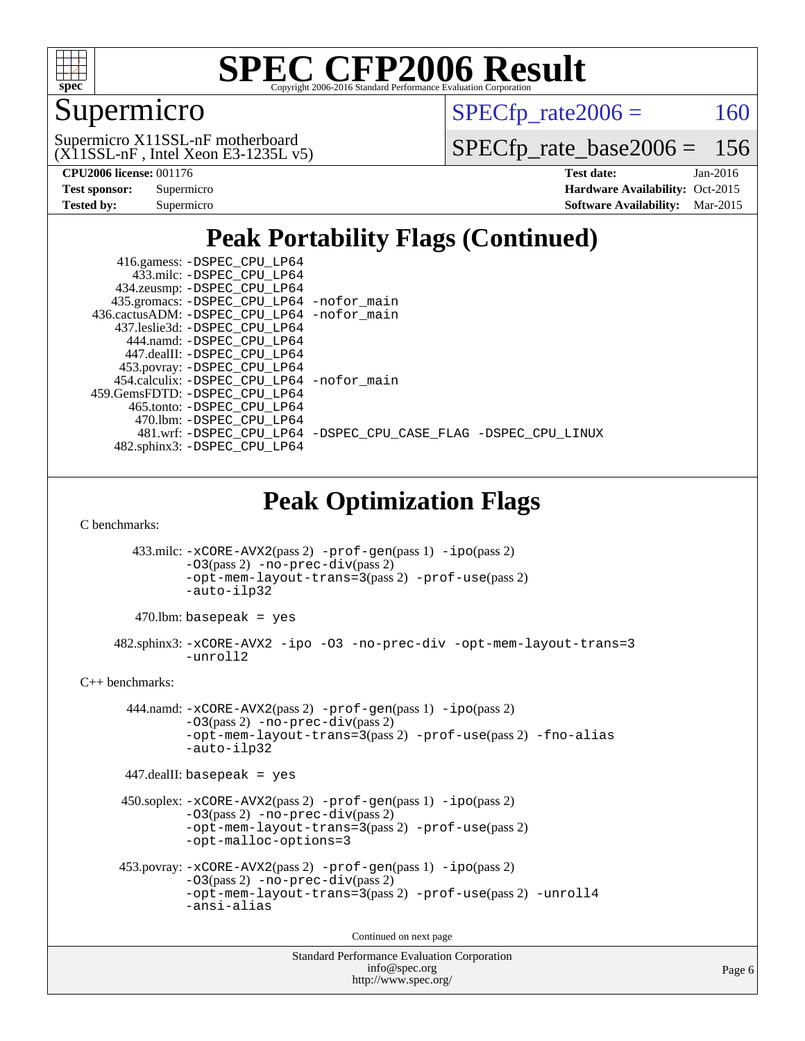

## Supermicro

 $SPECTp_rate2006 = 160$ 

(X11SSL-nF , Intel Xeon E3-1235L v5) Supermicro X11SSL-nF motherboard

[SPECfp\\_rate\\_base2006 =](http://www.spec.org/auto/cpu2006/Docs/result-fields.html#SPECfpratebase2006) 156

**[CPU2006 license:](http://www.spec.org/auto/cpu2006/Docs/result-fields.html#CPU2006license)** 001176 **[Test date:](http://www.spec.org/auto/cpu2006/Docs/result-fields.html#Testdate)** Jan-2016

| <b>Test sponsor:</b> | Supermicro |
|----------------------|------------|
| <b>Tested by:</b>    | Supermicro |

**[Hardware Availability:](http://www.spec.org/auto/cpu2006/Docs/result-fields.html#HardwareAvailability)** Oct-2015 **[Software Availability:](http://www.spec.org/auto/cpu2006/Docs/result-fields.html#SoftwareAvailability)** Mar-2015

### **[Peak Portability Flags \(Continued\)](http://www.spec.org/auto/cpu2006/Docs/result-fields.html#PeakPortabilityFlags)**

| 416.gamess: -DSPEC_CPU_LP64                                                        |                                                                     |  |  |  |  |  |
|------------------------------------------------------------------------------------|---------------------------------------------------------------------|--|--|--|--|--|
| 433.milc: -DSPEC_CPU_LP64                                                          |                                                                     |  |  |  |  |  |
| 434.zeusmp: -DSPEC_CPU_LP64                                                        |                                                                     |  |  |  |  |  |
|                                                                                    | 435.gromacs: -DSPEC_CPU_LP64 -nofor_main                            |  |  |  |  |  |
|                                                                                    | 436.cactusADM: -DSPEC_CPU_LP64 -nofor_main                          |  |  |  |  |  |
| 437.leslie3d: -DSPEC_CPU_LP64                                                      |                                                                     |  |  |  |  |  |
| 444.namd: - DSPEC_CPU_LP64                                                         |                                                                     |  |  |  |  |  |
| 447.dealII: -DSPEC_CPU_LP64                                                        |                                                                     |  |  |  |  |  |
| 453.povray: -DSPEC_CPU_LP64                                                        |                                                                     |  |  |  |  |  |
| 459.GemsFDTD: - DSPEC_CPU_LP64                                                     | 454.calculix: -DSPEC_CPU_LP64 -nofor_main                           |  |  |  |  |  |
| 465.tonto: - DSPEC_CPU_LP64                                                        |                                                                     |  |  |  |  |  |
| 470.1bm: -DSPEC_CPU_LP64                                                           |                                                                     |  |  |  |  |  |
|                                                                                    | 481.wrf: -DSPEC_CPU_LP64 -DSPEC_CPU_CASE_FLAG -DSPEC_CPU_LINUX      |  |  |  |  |  |
| 482.sphinx3: -DSPEC_CPU_LP64                                                       |                                                                     |  |  |  |  |  |
|                                                                                    |                                                                     |  |  |  |  |  |
| <b>Peak Optimization Flags</b><br>C benchmarks:                                    |                                                                     |  |  |  |  |  |
|                                                                                    | 433.milc: -xCORE-AVX2(pass 2) -prof-gen(pass 1) -ipo(pass 2)        |  |  |  |  |  |
|                                                                                    | -03(pass 2) -no-prec-div(pass 2)                                    |  |  |  |  |  |
|                                                                                    | -opt-mem-layout-trans=3(pass 2) -prof-use(pass 2)                   |  |  |  |  |  |
| -auto-ilp32                                                                        |                                                                     |  |  |  |  |  |
|                                                                                    |                                                                     |  |  |  |  |  |
| $470$ .lbm: basepeak = yes                                                         |                                                                     |  |  |  |  |  |
| 482.sphinx3: -xCORE-AVX2 -ipo -03 -no-prec-div -opt-mem-layout-trans=3<br>-unroll2 |                                                                     |  |  |  |  |  |
| $C_{++}$ benchmarks:                                                               |                                                                     |  |  |  |  |  |
|                                                                                    | 444.namd: -xCORE-AVX2(pass 2) -prof-gen(pass 1) -ipo(pass 2)        |  |  |  |  |  |
|                                                                                    | $-03(pass 2)$ -no-prec-div(pass 2)                                  |  |  |  |  |  |
| -opt-mem-layout-trans=3(pass 2) -prof-use(pass 2) -fno-alias                       |                                                                     |  |  |  |  |  |
| -auto-ilp32                                                                        |                                                                     |  |  |  |  |  |
|                                                                                    |                                                                     |  |  |  |  |  |
| $447$ .dealII: basepeak = yes                                                      |                                                                     |  |  |  |  |  |
|                                                                                    | 450.soplex: -xCORE-AVX2(pass 2) -prof-gen(pass 1) -ipo(pass 2)      |  |  |  |  |  |
|                                                                                    | -O3(pass 2) -no-prec-div(pass 2)                                    |  |  |  |  |  |
|                                                                                    | -opt-mem-layout-trans=3(pass 2) -prof-use(pass 2)                   |  |  |  |  |  |
|                                                                                    | -opt-malloc-options=3                                               |  |  |  |  |  |
|                                                                                    |                                                                     |  |  |  |  |  |
|                                                                                    | 453.povray: -xCORE-AVX2(pass 2) -prof-gen(pass 1) -ipo(pass 2)      |  |  |  |  |  |
|                                                                                    | -03(pass 2) -no-prec-div(pass 2)                                    |  |  |  |  |  |
|                                                                                    | -opt-mem-layout-trans=3(pass 2) -prof-use(pass 2) -unroll4          |  |  |  |  |  |
| -ansi-alias                                                                        |                                                                     |  |  |  |  |  |
|                                                                                    |                                                                     |  |  |  |  |  |
| Continued on next page                                                             |                                                                     |  |  |  |  |  |
|                                                                                    | <b>Standard Performance Evaluation Corporation</b><br>info@spec.org |  |  |  |  |  |

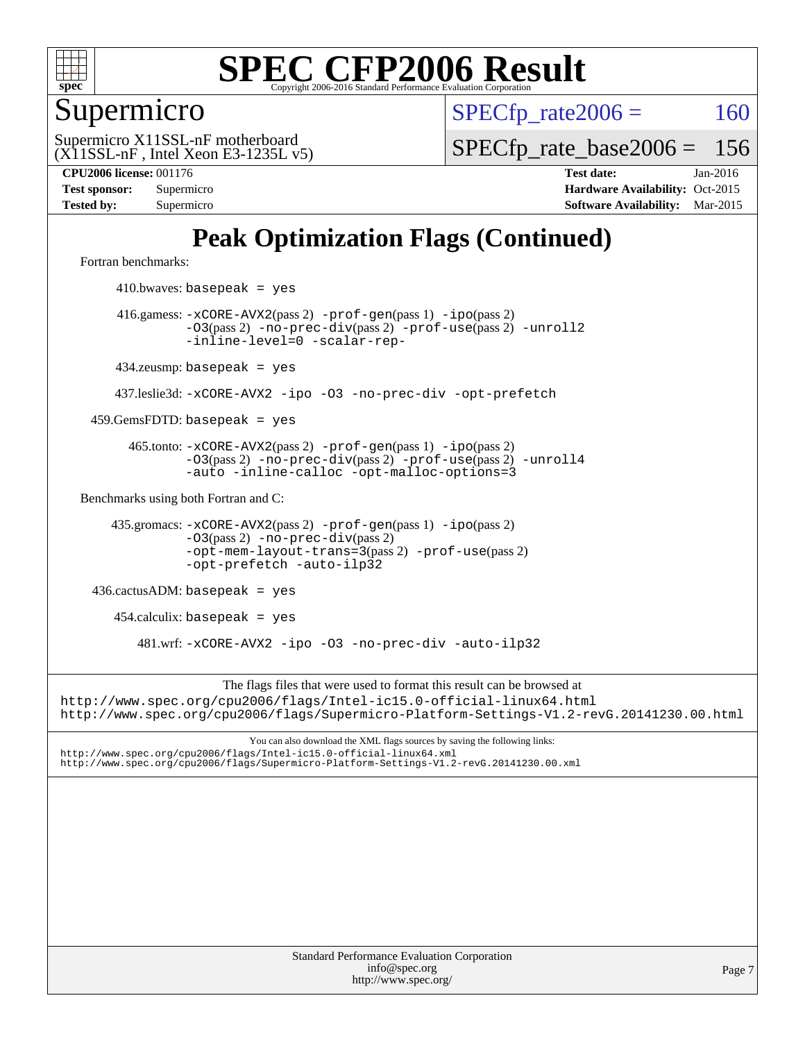

Supermicro

 $SPECTp\_rate2006 = 160$ 

(X11SSL-nF , Intel Xeon E3-1235L v5) Supermicro X11SSL-nF motherboard

[SPECfp\\_rate\\_base2006 =](http://www.spec.org/auto/cpu2006/Docs/result-fields.html#SPECfpratebase2006) 156

**[CPU2006 license:](http://www.spec.org/auto/cpu2006/Docs/result-fields.html#CPU2006license)** 001176 **[Test date:](http://www.spec.org/auto/cpu2006/Docs/result-fields.html#Testdate)** Jan-2016 **[Test sponsor:](http://www.spec.org/auto/cpu2006/Docs/result-fields.html#Testsponsor)** Supermicro Supermicro **[Hardware Availability:](http://www.spec.org/auto/cpu2006/Docs/result-fields.html#HardwareAvailability)** Oct-2015 **[Tested by:](http://www.spec.org/auto/cpu2006/Docs/result-fields.html#Testedby)** Supermicro **[Software Availability:](http://www.spec.org/auto/cpu2006/Docs/result-fields.html#SoftwareAvailability)** Mar-2015

### **[Peak Optimization Flags \(Continued\)](http://www.spec.org/auto/cpu2006/Docs/result-fields.html#PeakOptimizationFlags)**

[Fortran benchmarks](http://www.spec.org/auto/cpu2006/Docs/result-fields.html#Fortranbenchmarks):

 $410.bwaves: basepeak = yes$  416.gamess: [-xCORE-AVX2](http://www.spec.org/cpu2006/results/res2016q1/cpu2006-20160120-38728.flags.html#user_peakPASS2_FFLAGSPASS2_LDFLAGS416_gamess_f-xAVX2_5f5fc0cbe2c9f62c816d3e45806c70d7)(pass 2) [-prof-gen](http://www.spec.org/cpu2006/results/res2016q1/cpu2006-20160120-38728.flags.html#user_peakPASS1_FFLAGSPASS1_LDFLAGS416_gamess_prof_gen_e43856698f6ca7b7e442dfd80e94a8fc)(pass 1) [-ipo](http://www.spec.org/cpu2006/results/res2016q1/cpu2006-20160120-38728.flags.html#user_peakPASS2_FFLAGSPASS2_LDFLAGS416_gamess_f-ipo)(pass 2) [-O3](http://www.spec.org/cpu2006/results/res2016q1/cpu2006-20160120-38728.flags.html#user_peakPASS2_FFLAGSPASS2_LDFLAGS416_gamess_f-O3)(pass 2) [-no-prec-div](http://www.spec.org/cpu2006/results/res2016q1/cpu2006-20160120-38728.flags.html#user_peakPASS2_FFLAGSPASS2_LDFLAGS416_gamess_f-no-prec-div)(pass 2) [-prof-use](http://www.spec.org/cpu2006/results/res2016q1/cpu2006-20160120-38728.flags.html#user_peakPASS2_FFLAGSPASS2_LDFLAGS416_gamess_prof_use_bccf7792157ff70d64e32fe3e1250b55)(pass 2) [-unroll2](http://www.spec.org/cpu2006/results/res2016q1/cpu2006-20160120-38728.flags.html#user_peakOPTIMIZE416_gamess_f-unroll_784dae83bebfb236979b41d2422d7ec2) [-inline-level=0](http://www.spec.org/cpu2006/results/res2016q1/cpu2006-20160120-38728.flags.html#user_peakOPTIMIZE416_gamess_f-inline-level_318d07a09274ad25e8d15dbfaa68ba50) [-scalar-rep-](http://www.spec.org/cpu2006/results/res2016q1/cpu2006-20160120-38728.flags.html#user_peakOPTIMIZE416_gamess_f-disablescalarrep_abbcad04450fb118e4809c81d83c8a1d) 434.zeusmp: basepeak = yes 437.leslie3d: [-xCORE-AVX2](http://www.spec.org/cpu2006/results/res2016q1/cpu2006-20160120-38728.flags.html#user_peakOPTIMIZE437_leslie3d_f-xAVX2_5f5fc0cbe2c9f62c816d3e45806c70d7) [-ipo](http://www.spec.org/cpu2006/results/res2016q1/cpu2006-20160120-38728.flags.html#user_peakOPTIMIZE437_leslie3d_f-ipo) [-O3](http://www.spec.org/cpu2006/results/res2016q1/cpu2006-20160120-38728.flags.html#user_peakOPTIMIZE437_leslie3d_f-O3) [-no-prec-div](http://www.spec.org/cpu2006/results/res2016q1/cpu2006-20160120-38728.flags.html#user_peakOPTIMIZE437_leslie3d_f-no-prec-div) [-opt-prefetch](http://www.spec.org/cpu2006/results/res2016q1/cpu2006-20160120-38728.flags.html#user_peakOPTIMIZE437_leslie3d_f-opt-prefetch)  $459.GemsFDTD: basepeak = yes$  465.tonto: [-xCORE-AVX2](http://www.spec.org/cpu2006/results/res2016q1/cpu2006-20160120-38728.flags.html#user_peakPASS2_FFLAGSPASS2_LDFLAGS465_tonto_f-xAVX2_5f5fc0cbe2c9f62c816d3e45806c70d7)(pass 2) [-prof-gen](http://www.spec.org/cpu2006/results/res2016q1/cpu2006-20160120-38728.flags.html#user_peakPASS1_FFLAGSPASS1_LDFLAGS465_tonto_prof_gen_e43856698f6ca7b7e442dfd80e94a8fc)(pass 1) [-ipo](http://www.spec.org/cpu2006/results/res2016q1/cpu2006-20160120-38728.flags.html#user_peakPASS2_FFLAGSPASS2_LDFLAGS465_tonto_f-ipo)(pass 2) [-O3](http://www.spec.org/cpu2006/results/res2016q1/cpu2006-20160120-38728.flags.html#user_peakPASS2_FFLAGSPASS2_LDFLAGS465_tonto_f-O3)(pass 2) [-no-prec-div](http://www.spec.org/cpu2006/results/res2016q1/cpu2006-20160120-38728.flags.html#user_peakPASS2_FFLAGSPASS2_LDFLAGS465_tonto_f-no-prec-div)(pass 2) [-prof-use](http://www.spec.org/cpu2006/results/res2016q1/cpu2006-20160120-38728.flags.html#user_peakPASS2_FFLAGSPASS2_LDFLAGS465_tonto_prof_use_bccf7792157ff70d64e32fe3e1250b55)(pass 2) [-unroll4](http://www.spec.org/cpu2006/results/res2016q1/cpu2006-20160120-38728.flags.html#user_peakOPTIMIZE465_tonto_f-unroll_4e5e4ed65b7fd20bdcd365bec371b81f) [-auto](http://www.spec.org/cpu2006/results/res2016q1/cpu2006-20160120-38728.flags.html#user_peakOPTIMIZE465_tonto_f-auto) [-inline-calloc](http://www.spec.org/cpu2006/results/res2016q1/cpu2006-20160120-38728.flags.html#user_peakOPTIMIZE465_tonto_f-inline-calloc) [-opt-malloc-options=3](http://www.spec.org/cpu2006/results/res2016q1/cpu2006-20160120-38728.flags.html#user_peakOPTIMIZE465_tonto_f-opt-malloc-options_13ab9b803cf986b4ee62f0a5998c2238) [Benchmarks using both Fortran and C](http://www.spec.org/auto/cpu2006/Docs/result-fields.html#BenchmarksusingbothFortranandC): 435.gromacs: [-xCORE-AVX2](http://www.spec.org/cpu2006/results/res2016q1/cpu2006-20160120-38728.flags.html#user_peakPASS2_CFLAGSPASS2_FFLAGSPASS2_LDFLAGS435_gromacs_f-xAVX2_5f5fc0cbe2c9f62c816d3e45806c70d7)(pass 2) [-prof-gen](http://www.spec.org/cpu2006/results/res2016q1/cpu2006-20160120-38728.flags.html#user_peakPASS1_CFLAGSPASS1_FFLAGSPASS1_LDFLAGS435_gromacs_prof_gen_e43856698f6ca7b7e442dfd80e94a8fc)(pass 1) [-ipo](http://www.spec.org/cpu2006/results/res2016q1/cpu2006-20160120-38728.flags.html#user_peakPASS2_CFLAGSPASS2_FFLAGSPASS2_LDFLAGS435_gromacs_f-ipo)(pass 2) [-O3](http://www.spec.org/cpu2006/results/res2016q1/cpu2006-20160120-38728.flags.html#user_peakPASS2_CFLAGSPASS2_FFLAGSPASS2_LDFLAGS435_gromacs_f-O3)(pass 2) [-no-prec-div](http://www.spec.org/cpu2006/results/res2016q1/cpu2006-20160120-38728.flags.html#user_peakPASS2_CFLAGSPASS2_FFLAGSPASS2_LDFLAGS435_gromacs_f-no-prec-div)(pass 2) [-opt-mem-layout-trans=3](http://www.spec.org/cpu2006/results/res2016q1/cpu2006-20160120-38728.flags.html#user_peakPASS2_CFLAGS435_gromacs_f-opt-mem-layout-trans_a7b82ad4bd7abf52556d4961a2ae94d5)(pass 2) [-prof-use](http://www.spec.org/cpu2006/results/res2016q1/cpu2006-20160120-38728.flags.html#user_peakPASS2_CFLAGSPASS2_FFLAGSPASS2_LDFLAGS435_gromacs_prof_use_bccf7792157ff70d64e32fe3e1250b55)(pass 2) [-opt-prefetch](http://www.spec.org/cpu2006/results/res2016q1/cpu2006-20160120-38728.flags.html#user_peakOPTIMIZE435_gromacs_f-opt-prefetch) [-auto-ilp32](http://www.spec.org/cpu2006/results/res2016q1/cpu2006-20160120-38728.flags.html#user_peakCOPTIMIZE435_gromacs_f-auto-ilp32) 436.cactusADM: basepeak = yes  $454$ .calculix: basepeak = yes 481.wrf: [-xCORE-AVX2](http://www.spec.org/cpu2006/results/res2016q1/cpu2006-20160120-38728.flags.html#user_peakOPTIMIZE481_wrf_f-xAVX2_5f5fc0cbe2c9f62c816d3e45806c70d7) [-ipo](http://www.spec.org/cpu2006/results/res2016q1/cpu2006-20160120-38728.flags.html#user_peakOPTIMIZE481_wrf_f-ipo) [-O3](http://www.spec.org/cpu2006/results/res2016q1/cpu2006-20160120-38728.flags.html#user_peakOPTIMIZE481_wrf_f-O3) [-no-prec-div](http://www.spec.org/cpu2006/results/res2016q1/cpu2006-20160120-38728.flags.html#user_peakOPTIMIZE481_wrf_f-no-prec-div) [-auto-ilp32](http://www.spec.org/cpu2006/results/res2016q1/cpu2006-20160120-38728.flags.html#user_peakCOPTIMIZE481_wrf_f-auto-ilp32) The flags files that were used to format this result can be browsed at <http://www.spec.org/cpu2006/flags/Intel-ic15.0-official-linux64.html> <http://www.spec.org/cpu2006/flags/Supermicro-Platform-Settings-V1.2-revG.20141230.00.html> You can also download the XML flags sources by saving the following links: <http://www.spec.org/cpu2006/flags/Intel-ic15.0-official-linux64.xml> <http://www.spec.org/cpu2006/flags/Supermicro-Platform-Settings-V1.2-revG.20141230.00.xml>

> Standard Performance Evaluation Corporation [info@spec.org](mailto:info@spec.org) <http://www.spec.org/>